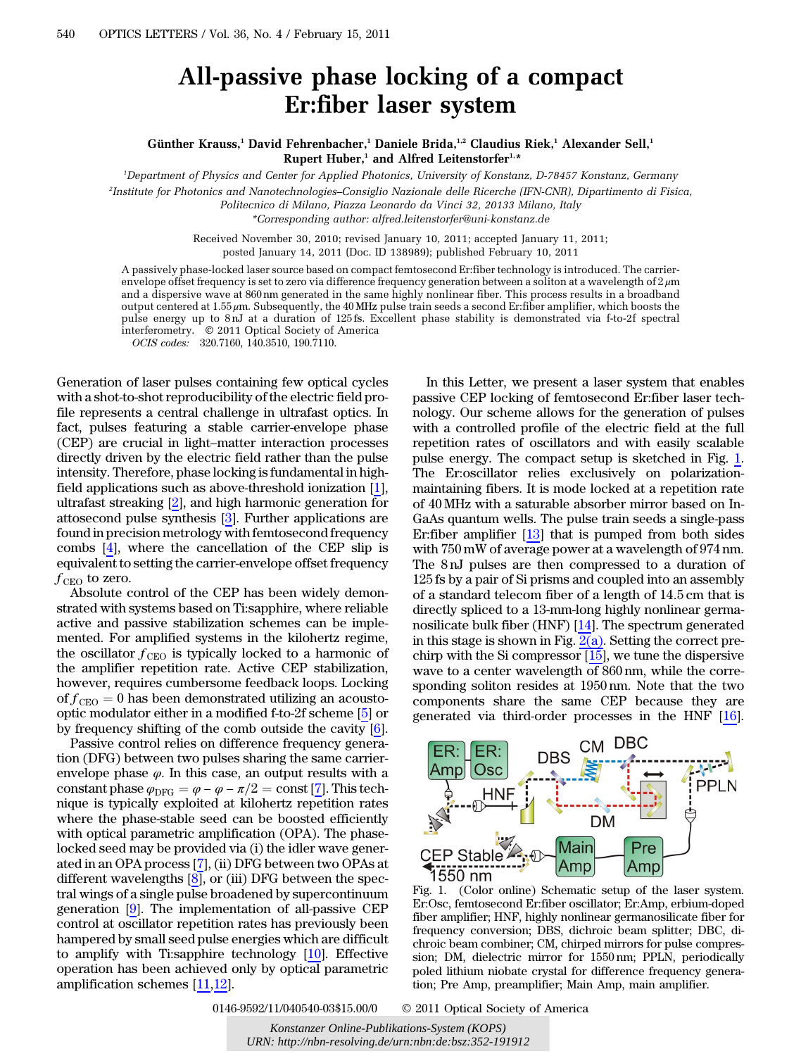## All-passive phase locking of a compact Er:fiber laser system

Günther Krauss,<sup>1</sup> David Fehrenbacher,<sup>1</sup> Daniele Brida,<sup>1,2</sup> Claudius Riek,<sup>1</sup> Alexander Sell,<sup>1</sup> Rupert Huber,<sup>1</sup> and Alfred Leitenstorfer<sup>1,\*</sup>

1 Department of Physics and Center for Applied Photonics, University of Konstanz, D-78457 Konstanz, Germany

2 Institute for Photonics and Nanotechnologies–Consiglio Nazionale delle Ricerche (IFN-CNR), Dipartimento di Fisica,

Politecnico di Milano, Piazza Leonardo da Vinci 32, 20133 Milano, Italy

\*Corresponding author: alfred.leitenstorfer@uni‑konstanz.de

Received November 30, 2010; revised January 10, 2011; accepted January 11, 2011; posted January 14, 2011 (Doc. ID 138989); published February 10, 2011

A passively phase-locked laser source based on compact femtosecond Er:fiber technology is introduced. The carrierenvelope offset frequency is set to zero via difference frequency generation between a soliton at a wavelength of  $2 \mu m$ and a dispersive wave at 860 nm generated in the same highly nonlinear fiber. This process results in a broadband output centered at 1:55 μm. Subsequently, the 40 MHz pulse train seeds a second Er:fiber amplifier, which boosts the pulse energy up to 8 nJ at a duration of 125 fs. Excellent phase stability is demonstrated via f-to-2f spectral interferometry. © 2011 Optical Society of America

OCIS codes: 320.7160, 140.3510, 190.7110.

Generation of laser pulses containing few optical cycles with a shot-to-shot reproducibility of the electric field profile represents a central challenge in ultrafast optics. In fact, pulses featuring a stable carrier-envelope phase Schutzmann of haser pulses containing tew optical cycles<br>with a shot-to-shot reproducibility of the electric field pro-<br>file represents a central challenge in ultrafast optics. In<br>fact, pulses featuring a stable carrier-en directly driven by the electric field rather than the pulse intensity. Therefore, phase locking is fundamental in highfield applications such as above-threshold ionization [\[1](#page-2-0)], ultrafast streaking [[2\]](#page-2-1), and high harmonic generation for attosecond pulse synthesis [\[3](#page-2-2)]. Further applications are found in precision metrology with femtosecond frequency combs [[4\]](#page-2-3), where the cancellation of the CEP slip is equivalent to setting the carrier-envelope offset frequency  $f_{\text{CEO}}$  to zero.

Absolute control of the CEP has been widely demonstrated with systems based on Ti:sapphire, where reliable active and passive stabilization schemes can be implemented. For amplified systems in the kilohertz regime, the oscillator  $f_{\text{CEO}}$  is typically locked to a harmonic of the amplifier repetition rate. Active CEP stabilization, however, requires cumbersome feedback loops. Locking of  $f_{\text{CEO}} = 0$  has been demonstrated utilizing an acoustooptic modulator either in a modified f-to-2f scheme [[5\]](#page-2-4) or by frequency shifting of the comb outside the cavity [\[6](#page-2-5)].

Passive control relies on difference frequency generation (DFG) between two pulses sharing the same carrier-<br>envelope phase φ. In this case, an output results with a constant phase  $φ$ <sub>DFG</sub> =  $φ - φ - π/2$  = const [\[7](#page-2-6)]. This tion (DFG) between two pulses sharing the same carrierenvelope phase  $\varphi$ . In this case, an output results with a nique is typically exploited at kilohertz repetition rates where the phase-stable seed can be boosted efficiently with optical parametric amplification (OPA). The phaselocked seed may be provided via (i) the idler wave generated in an OPA process [\[7](#page-2-6)], (ii) DFG between two OPAs at different wavelengths  $[8]$  $[8]$ , or (iii) DFG between the spectral wings of a single pulse broadened by supercontinuum generation [\[9](#page-2-8)]. The implementation of all-passive CEP control at oscillator repetition rates has previously been hampered by small seed pulse energies which are difficult to amplify with Ti:sapphire technology [\[10](#page-2-9)]. Effective operation has been achieved only by optical parametric amplification schemes [[11](#page-2-10)[,12](#page-2-11)].

In this Letter, we present a laser system that enables passive CEP locking of femtosecond Er:fiber laser technology. Our scheme allows for the generation of pulses with a controlled profile of the electric field at the full repetition rates of oscillators and with easily scalable pulse energy. The compact setup is sketched in Fig. [1.](#page-0-0) The Er:oscillator relies exclusively on polarizationmaintaining fibers. It is mode locked at a repetition rate of 40 MHz with a saturable absorber mirror based on In-GaAs quantum wells. The pulse train seeds a single-pass Er:fiber amplifier [\[13](#page-2-12)] that is pumped from both sides with 750 mW of average power at a wavelength of 974 nm. The 8 nJ pulses are then compressed to a duration of 125 fs by a pair of Si prisms and coupled into an assembly of a standard telecom fiber of a length of 14:5 cm that is directly spliced to a 13-mm-long highly nonlinear germanosilicate bulk fiber (HNF) [[14\]](#page-2-13). The spectrum generated in this stage is shown in Fig.  $2(a)$ . Setting the correct prechirp with the Si compressor [[15\]](#page-2-14), we tune the dispersive wave to a center wavelength of 860 nm, while the corresponding soliton resides at 1950 nm. Note that the two components share the same CEP because they are generated via third-order processes in the HNF [\[16](#page-2-15)].

<span id="page-0-0"></span>

Fig. 1. (Color online) Schematic setup of the laser system. Er:Osc, femtosecond Er:fiber oscillator; Er:Amp, erbium-doped fiber amplifier; HNF, highly nonlinear germanosilicate fiber for frequency conversion; DBS, dichroic beam splitter; DBC, dichroic beam combiner; CM, chirped mirrors for pulse compression; DM, dielectric mirror for 1550 nm; PPLN, periodically poled lithium niobate crystal for difference frequency generation; Pre Amp, preamplifier; Main Amp, main amplifier.

0146-9592/11/040540-03\$15.00/0 © 2011 Optical Society of America

*Konstanzer Online-Publikations-System (KOPS) URN:<http://nbn-resolving.de/urn:nbn:de:bsz:352-191912>*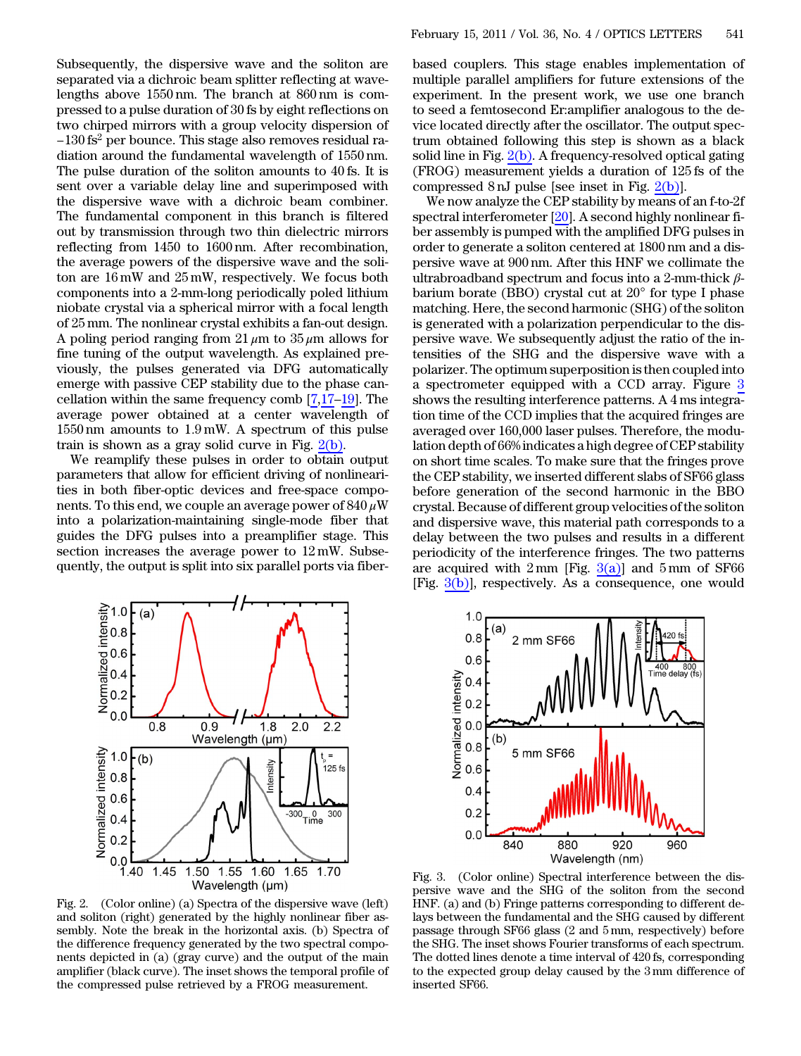Subsequently, the dispersive wave and the soliton are separated via a dichroic beam splitter reflecting at wavelengths above 1550 nm. The branch at 860 nm is compressed to a pulse duration of 30 fs by eight reflections on two chirped mirrors with a group velocity dispersion of  $-130$  fs<sup>2</sup> per bounce. This stage also removes residual radiation around the fundamental wavelength of 1550 nm. The pulse duration of the soliton amounts to 40 fs. It is sent over a variable delay line and superimposed with the dispersive wave with a dichroic beam combiner. The fundamental component in this branch is filtered out by transmission through two thin dielectric mirrors reflecting from 1450 to 1600 nm. After recombination, the average powers of the dispersive wave and the soliton are 16 mW and 25 mW, respectively. We focus both components into a 2-mm-long periodically poled lithium niobate crystal via a spherical mirror with a focal length of 25 mm. The nonlinear crystal exhibits a fan-out design. A poling period ranging from  $21 \mu m$  to  $35 \mu m$  allows for fine tuning of the output wavelength. As explained previously, the pulses generated via DFG automatically emerge with passive CEP stability due to the phase can-From the same frequency comb  $\frac{1}{n}$  and  $\frac{1}{n}$  are separated previously, the pulses generated via DFG automatically emerge with passive CEP stability due to the phase cancellation within the same frequency comb  $[7,$  $[7,$ average power obtained at a center wavelength of 1550 nm amounts to 1:9 mW. A spectrum of this pulse train is shown as a gray solid curve in Fig.  $2(b)$ .

We reamplify these pulses in order to obtain output parameters that allow for efficient driving of nonlinearities in both fiber-optic devices and free-space components. To this end, we couple an average power of  $840 \,\mathrm{\mu W}$ into a polarization-maintaining single-mode fiber that guides the DFG pulses into a preamplifier stage. This section increases the average power to 12 mW. Subsequently, the output is split into six parallel ports via fiber-

based couplers. This stage enables implementation of multiple parallel amplifiers for future extensions of the experiment. In the present work, we use one branch to seed a femtosecond Er:amplifier analogous to the device located directly after the oscillator. The output spectrum obtained following this step is shown as a black solid line in Fig. [2\(b\).](#page-1-0) A frequency-resolved optical gating (FROG) measurement yields a duration of 125 fs of the compressed 8 nJ pulse [see inset in Fig. [2\(b\)\]](#page-1-0).

We now analyze the CEP stability by means of an f-to-2f spectral interferometer  $[20]$  $[20]$ . A second highly nonlinear fiber assembly is pumped with the amplified DFG pulses in order to generate a soliton centered at 1800 nm and a dispersive wave at 900 nm. After this HNF we collimate the ultrabroadband spectrum and focus into a 2-mm-thick  $\beta$ barium borate (BBO) crystal cut at 20° for type I phase matching. Here, the second harmonic (SHG) of the soliton is generated with a polarization perpendicular to the dispersive wave. We subsequently adjust the ratio of the intensities of the SHG and the dispersive wave with a polarizer. The optimum superposition is then coupled into a spectrometer equipped with a CCD array. Figure [3](#page-1-1) shows the resulting interference patterns. A 4 ms integration time of the CCD implies that the acquired fringes are averaged over 160,000 laser pulses. Therefore, the modulation depth of 66% indicates a high degree of CEP stability on short time scales. To make sure that the fringes prove the CEP stability, we inserted different slabs of SF66 glass before generation of the second harmonic in the BBO crystal. Because of different group velocities of the soliton and dispersive wave, this material path corresponds to a delay between the two pulses and results in a different periodicity of the interference fringes. The two patterns are acquired with  $2 \text{ mm}$  [Fig.  $3(a)$ ] and  $5 \text{ mm}$  of SF66 [Fig.  $3(b)$ ], respectively. As a consequence, one would



<span id="page-1-0"></span>Fig. 2. (Color online) (a) Spectra of the dispersive wave (left) and soliton (right) generated by the highly nonlinear fiber assembly. Note the break in the horizontal axis. (b) Spectra of the difference frequency generated by the two spectral components depicted in (a) (gray curve) and the output of the main amplifier (black curve). The inset shows the temporal profile of the compressed pulse retrieved by a FROG measurement.

<span id="page-1-1"></span>

<span id="page-1-2"></span>Fig. 3. (Color online) Spectral interference between the dispersive wave and the SHG of the soliton from the second HNF. (a) and (b) Fringe patterns corresponding to different delays between the fundamental and the SHG caused by different passage through SF66 glass (2 and 5 mm, respectively) before the SHG. The inset shows Fourier transforms of each spectrum. The dotted lines denote a time interval of 420 fs, corresponding to the expected group delay caused by the 3 mm difference of inserted SF66.